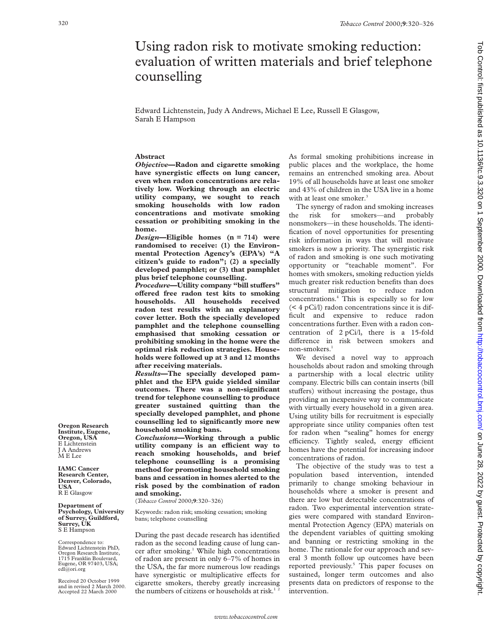# Using radon risk to motivate smoking reduction: evaluation of written materials and brief telephone counselling

Edward Lichtenstein, Judy A Andrews, Michael E Lee, Russell E Glasgow, Sarah E Hampson

# **Abstract**

*Objective***—Radon and cigarette smoking** have synergistic effects on lung cancer, **even when radon concentrations are relatively low. Working through an electric utility company, we sought to reach smoking households with low radon concentrations and motivate smoking cessation or prohibiting smoking in the home.**

*Design***—Eligible homes (n = 714) were randomised to receive: (1) the Environmental Protection Agency's (EPA's) "A citizen's guide to radon"; (2) a specially developed pamphlet; or (3) that pamphlet plus brief telephone counselling.**

*Procedure*—Utility company "bill stuffers" **oVered free radon test kits to smoking households. All households received radon test results with an explanatory cover letter. Both the specially developed pamphlet and the telephone counselling emphasised that smoking cessation or prohibiting smoking in the home were the optimal risk reduction strategies. Households were followed up at 3 and 12 months after receiving materials.**

*Results***—The specially developed pamphlet and the EPA guide yielded similar outcomes. There was a non-significant trend for telephone counselling to produce greater sustained quitting than the specially developed pamphlet, and phone counselling led to significantly more new household smoking bans.**

*Conclusions***—Working through a public** utility company is an efficient way to **reach smoking households, and brief telephone counselling is a promising method for promoting household smoking bans and cessation in homes alerted to the risk posed by the combination of radon and smoking.**

(*Tobacco Control* 2000;**9**:320–326)

Keywords: radon risk; smoking cessation; smoking bans; telephone counselling

During the past decade research has identified radon as the second leading cause of lung cancer after smoking.<sup>1</sup> While high concentrations of radon are present in only 6–7% of homes in the USA, the far more numerous low readings have synergistic or multiplicative effects for cigarette smokers, thereby greatly increasing the numbers of citizens or households at risk. $<sup>1</sup>$ </sup>

As formal smoking prohibitions increase in public places and the workplace, the home remains an entrenched smoking area. About 19% of all households have at least one smoker and 43% of children in the USA live in a home with at least one smoker.<sup>3</sup>

The synergy of radon and smoking increases<br>e risk for smokers—and probably the risk for smokers—and nonsmokers—in these households. The identification of novel opportunities for presenting risk information in ways that will motivate smokers is now a priority. The synergistic risk of radon and smoking is one such motivating opportunity or "teachable moment". For homes with smokers, smoking reduction yields much greater risk reduction benefits than does structural mitigation to reduce radon concentrations.4 This is especially so for low  $(< 4 pCi/l)$  radon concentrations since it is difficult and expensive to reduce radon concentrations further. Even with a radon concentration of 2 pCi/l, there is a 15-fold difference in risk between smokers and non-smokers.<sup>1</sup>

Tob Control: first published as 10.1136/tc.9.3.320 on 1 September 2000. Downloaded from http://tobaccocontrol.bmj.com/ on June 28, 2022 by guest. Protected by copyrigh Tob Control: first published as 10.1136/tc.9.3.320 on 1 September 2000. Downloaded from <http://tobaccocontrol.bmj.com/> Tob Control: first published as 10.1136/tc.9.3.320 on 1 September 2000. Downloaded from thtp://tobaccoc

We devised a novel way to approach households about radon and smoking through a partnership with a local electric utility company. Electric bills can contain inserts (bill stuffers) without increasing the postage, thus providing an inexpensive way to communicate with virtually every household in a given area. Using utility bills for recruitment is especially appropriate since utility companies often test for radon when "sealing" homes for energy efficiency. Tightly sealed, energy efficient homes have the potential for increasing indoor concentrations of radon.

The objective of the study was to test a population based intervention, intended primarily to change smoking behaviour in households where a smoker is present and there are low but detectable concentrations of radon. Two experimental intervention strategies were compared with standard Environmental Protection Agency (EPA) materials on the dependent variables of quitting smoking and banning or restricting smoking in the home. The rationale for our approach and several 3 month follow up outcomes have been reported previously.<sup>5</sup> This paper focuses on sustained, longer term outcomes and also presents data on predictors of response to the intervention.

**Denver, Colorado, USA** R E Glasgow

**Oregon Research Institute, Eugene, Oregon, USA** E Lichtenstein J A Andrews M E Lee **IAMC Cancer Research Center,**

**Department of Psychology, University of Surrey, Guildford, Surrey, UK** S E Hampson

Correspondence to: Edward Lichtenstein PhD, Oregon Research Institute, 1715 Franklin Boulevard, Eugene, OR 97403, USA; edl@ori.org

Received 20 October 1999 and in revised 2 March 2000. Accepted 22 March 2000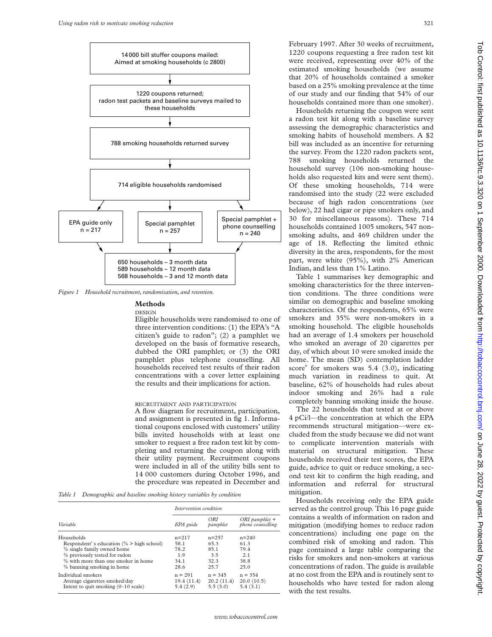

*Figure 1 Household recruitment, randomisation, and retention.*

# **Methods** DESIGN

Eligible households were randomised to one of three intervention conditions: (1) the EPA's "A citizen's guide to radon"; (2) a pamphlet we developed on the basis of formative research, dubbed the ORI pamphlet; or (3) the ORI pamphlet plus telephone counselling. All households received test results of their radon concentrations with a cover letter explaining the results and their implications for action.

# RECRUITMENT AND PARTICIPATION

A flow diagram for recruitment, participation, and assignment is presented in fig 1. Informational coupons enclosed with customers' utility bills invited households with at least one smoker to request a free radon test kit by completing and returning the coupon along with their utility payment. Recruitment coupons were included in all of the utility bills sent to 14 000 customers during October 1996, and the procedure was repeated in December and

*Table 1 Demographic and baseline smoking history variables by condition*

|                                                                                                      | Intervention condition              |                                     |                                         |  |
|------------------------------------------------------------------------------------------------------|-------------------------------------|-------------------------------------|-----------------------------------------|--|
| Variable                                                                                             | EPA guide                           | ORI<br>pamphlet                     | $ORI$ pamphlet $+$<br>phone counselling |  |
| Households                                                                                           | $n = 217$                           | $n = 257$                           | $n = 240$                               |  |
| Respondent's education $(\% > high school)$                                                          | 58.1                                | 65.3                                | 61.3                                    |  |
| % single family owned home                                                                           | 78.2                                | 85.1                                | 79.4                                    |  |
| % previously tested for radon                                                                        | 1.9                                 | 3.5                                 | 2.1                                     |  |
| % with more than one smoker in home                                                                  | 34.1                                | 32.3                                | 38.8                                    |  |
| % banning smoking in home                                                                            | 28.6                                | 25.7                                | 25.0                                    |  |
| Individual smokers<br>Average cigarettes smoked/day<br>Intent to quit smoking $(0-10 \text{ scale})$ | $n = 291$<br>19.4(11.4)<br>5.4(2.9) | $n = 345$<br>20.2(11.4)<br>5.5(3.0) | $n = 354$<br>20.0(10.5)<br>5.4(3.1)     |  |

February 1997. After 30 weeks of recruitment, 1220 coupons requesting a free radon test kit were received, representing over 40% of the estimated smoking households (we assume that 20% of households contained a smoker based on a 25% smoking prevalence at the time of our study and our finding that 54% of our households contained more than one smoker).

Households returning the coupon were sent a radon test kit along with a baseline survey assessing the demographic characteristics and smoking habits of household members. A \$2 bill was included as an incentive for returning the survey. From the 1220 radon packets sent, 788 smoking households returned the household survey (106 non-smoking households also requested kits and were sent them). Of these smoking households, 714 were randomised into the study (22 were excluded because of high radon concentrations (see below), 22 had cigar or pipe smokers only, and 30 for miscellaneous reasons). These 714 households contained 1005 smokers, 547 nonsmoking adults, and 469 children under the age of 18. Reflecting the limited ethnic diversity in the area, respondents, for the most part, were white (95%), with 2% American Indian, and less than 1% Latino.

Table 1 summarises key demographic and smoking characteristics for the three intervention conditions. The three conditions were similar on demographic and baseline smoking characteristics. Of the respondents, 65% were smokers and 35% were non-smokers in a smoking household. The eligible households had an average of 1.4 smokers per household who smoked an average of 20 cigarettes per day, of which about 10 were smoked inside the home. The mean (SD) contemplation ladder score $6$  for smokers was 5.4 (3.0), indicating much variation in readiness to quit. At baseline, 62% of households had rules about indoor smoking and 26% had a rule completely banning smoking inside the house.

The 22 households that tested at or above 4 pCi/l—the concentration at which the EPA recommends structural mitigation—were excluded from the study because we did not want to complicate intervention materials with material on structural mitigation. These households received their test scores, the EPA guide, advice to quit or reduce smoking, a second test kit to confirm the high reading, and information and referral for structural mitigation.

Households receiving only the EPA guide served as the control group. This 16 page guide contains a wealth of information on radon and mitigation (modifying homes to reduce radon concentrations) including one page on the combined risk of smoking and radon. This page contained a large table comparing the risks for smokers and non-smokers at various concentrations of radon. The guide is available at no cost from the EPA and is routinely sent to households who have tested for radon along with the test results.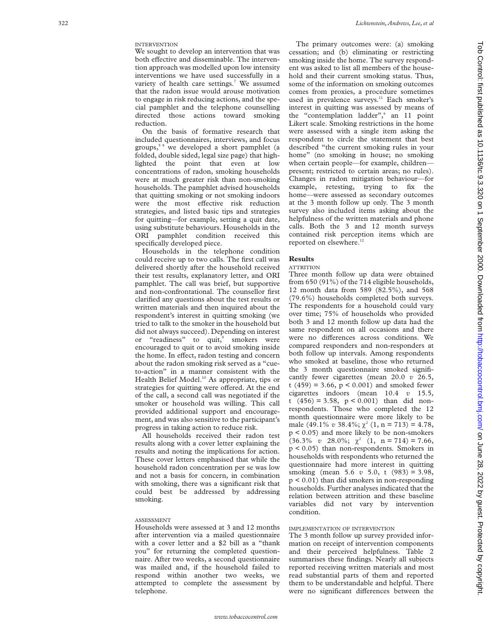# INTERVENTION

We sought to develop an intervention that was both effective and disseminable. The intervention approach was modelled upon low intensity interventions we have used successfully in a variety of health care settings. <sup>7</sup> We assumed that the radon issue would arouse motivation to engage in risk reducing actions, and the special pamphlet and the telephone counselling directed those actions toward smoking reduction.

On the basis of formative research that included questionnaires, interviews, and focus groups,5 8 we developed a short pamphlet (a folded, double sided, legal size page) that highlighted the point that even at low concentrations of radon, smoking households were at much greater risk than non-smoking households. The pamphlet advised households that quitting smoking or not smoking indoors were the most effective risk reduction strategies, and listed basic tips and strategies for quitting—for example, setting a quit date, using substitute behaviours. Households in the ORI pamphlet condition received this specifically developed piece.

Households in the telephone condition could receive up to two calls. The first call was delivered shortly after the household received their test results, explanatory letter, and ORI pamphlet. The call was brief, but supportive and non-confrontational. The counsellor first clarified any questions about the test results or written materials and then inquired about the respondent's interest in quitting smoking (we tried to talk to the smoker in the household but did not always succeed). Depending on interest or "readiness" to quit, <sup>9</sup> smokers were encouraged to quit or to avoid smoking inside the home. In effect, radon testing and concern about the radon smoking risk served as a "cueto-action" in a manner consistent with the Health Belief Model.<sup>10</sup> As appropriate, tips or strategies for quitting were offered. At the end of the call, a second call was negotiated if the smoker or household was willing. This call provided additional support and encouragement, and was also sensitive to the participant's progress in taking action to reduce risk.

All households received their radon test results along with a cover letter explaining the results and noting the implications for action. These cover letters emphasised that while the household radon concentration per se was low and not a basis for concern, in combination with smoking, there was a significant risk that could best be addressed by addressing smoking.

#### ASSESSMENT

Households were assessed at 3 and 12 months after intervention via a mailed questionnaire with a cover letter and a \$2 bill as a "thank you" for returning the completed questionnaire. After two weeks, a second questionnaire was mailed and, if the household failed to respond within another two weeks, we attempted to complete the assessment by telephone.

The primary outcomes were: (a) smoking cessation; and (b) eliminating or restricting smoking inside the home. The survey respondent was asked to list all members of the household and their current smoking status. Thus, some of the information on smoking outcomes comes from proxies, a procedure sometimes used in prevalence surveys.<sup>11</sup> Each smoker's interest in quitting was assessed by means of the "contemplation ladder", <sup>6</sup> an 11 point Likert scale. Smoking restrictions in the home were assessed with a single item asking the respondent to circle the statement that best described "the current smoking rules in your home" (no smoking in house; no smoking when certain people—for example, children present; restricted to certain areas; no rules). Changes in radon mitigation behaviour—for example, retesting, trying to fix the home—were assessed as secondary outcomes at the 3 month follow up only. The 3 month survey also included items asking about the helpfulness of the written materials and phone calls. Both the 3 and 12 month surveys contained risk perception items which are reported on elsewhere.<sup>12</sup>

#### **Results**

#### **ATTRITION**

Three month follow up data were obtained from 650 (91%) of the 714 eligible households, 12 month data from 589 (82.5%), and 568 (79.6%) households completed both surveys. The respondents for a household could vary over time; 75% of households who provided both 3 and 12 month follow up data had the same respondent on all occasions and there were no di Verences across conditions. We compared responders and non-responders at both follow up intervals. Among respondents who smoked at baseline, those who returned the 3 month questionnaire smoked significantly fewer cigarettes (mean 20.0 *v* 26.5, t (459) = 3.66,  $p < 0.001$ ) and smoked fewer cigarettes indoors (mean 10.4 *v* 15.5, t  $(456) = 3.58$ ,  $p < 0.001$ ) than did nonrespondents. Those who completed the 12 month questionnaire were more likely to be male  $(49.1\% \text{ v } 38.4\%; \chi^2(1, n = 713) = 4.78,$ p < 0.05) and more likely to be non-smokers  $(36.3\% \text{ } v \text{ } 28.0\%; \text{ } \chi^2 \text{ } (1, \text{ } n = 714) = 7.66,$ p < 0.05) than non-respondents. Smokers in households with respondents who returned the questionnaire had more interest in quitting smoking (mean 5.6 *v* 5.0, t (983) = 3.98, p < 0.01) than did smokers in non-responding households. Further analyses indicated that the relation between attrition and these baseline variables did not vary by intervention condition.

# IMPLEMENTATION OF INTERVENTION

The 3 month follow up survey provided information on receipt of intervention components and their perceived helpfulness. Table 2 summarises these findings. Nearly all subjects reported receiving written materials and most read substantial parts of them and reported them to be understandable and helpful. There were no significant differences between the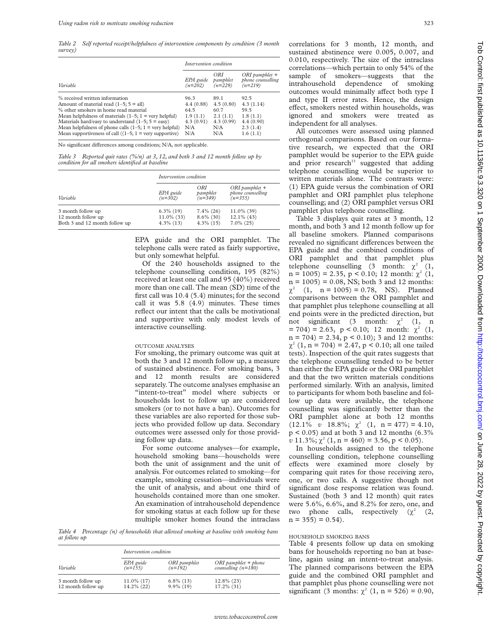*Table 2 Self reported receipt/helpfulness of intervention components by condition (3 month survey)*

|                                                                  | Intervention condition |                              |                                                      |
|------------------------------------------------------------------|------------------------|------------------------------|------------------------------------------------------|
| Variable                                                         | EPA guide<br>$(n=202)$ | ORI<br>pamphlet<br>$(n=229)$ | $ORI$ pamphlet $+$<br>phone counselling<br>$(n=219)$ |
| % received written information                                   | 96.3                   | 89.1                         | 92.5                                                 |
| Amount of material read $(1-5; 5 = all)$                         | 4.4(0.88)              | 4.5(0.80)                    | 4.3(1.14)                                            |
| % other smokers in home read material                            | 64.5                   | 60.7                         | 59.5                                                 |
| Mean helpfulness of materials $(1-5; 1 = \text{very helpful})$   | 1.9(1.1)               | 2.1(1.1)                     | 1.8(1.1)                                             |
| Materials hard/easy to understand $(1-5; 5 = easv)$              | 4.3(0.91)              | 4.3(0.99)                    | 4.4(0.90)                                            |
| Mean helpfulness of phone calls $(1-5; 1 = \text{very helpful})$ | N/A                    | N/A                          | 2.3(1.4)                                             |
| Mean supportiveness of call $((1-5; 1 = \text{very supportive})$ | N/A                    | N/A                          | 1.6(1.1)                                             |

No significant differences among conditions; N/A, not applicable.

*Table 3 Reported quit rates (%/n) at 3, 12, and both 3 and 12 month follow up by condition for all smokers identified at baseline*

|                                                                          | Intervention condition                        |                                              |                                                      |  |
|--------------------------------------------------------------------------|-----------------------------------------------|----------------------------------------------|------------------------------------------------------|--|
| Variable                                                                 | EPA guide<br>$(n=302)$                        | ORI<br>pamphlet<br>$(n=349)$                 | $ORI$ pamphlet $+$<br>phone counselling<br>$(n=355)$ |  |
| 3 month follow up<br>12 month follow up<br>Both 3 and 12 month follow up | $6.3\%$ (19)<br>$11.0\%$ (33)<br>$4.3\%$ (13) | $7.4\%$ (26)<br>$8.6\%$ (30)<br>$4.3\%$ (15) | $11.0\%$ (39)<br>$12.1\%$ (43)<br>$7.0\%$ (25)       |  |

EPA guide and the ORI pamphlet. The telephone calls were rated as fairly supportive, but only somewhat helpful.

Of the 240 households assigned to the telephone counselling condition, 195 (82%) received at least one call and 95 (40%) received more than one call. The mean (SD) time of the first call was 10.4 (5.4) minutes; for the second call it was 5.8 (4.9) minutes. These times reflect our intent that the calls be motivational and supportive with only modest levels of interactive counselling.

#### OUTCOME ANALYSES

For smoking, the primary outcome was quit at both the 3 and 12 month follow up, a measure of sustained abstinence. For smoking bans, 3 and 12 month results are considered separately. The outcome analyses emphasise an "intent-to-treat" model where subjects or households lost to follow up are considered smokers (or to not have a ban). Outcomes for these variables are also reported for those subjects who provided follow up data. Secondary outcomes were assessed only for those providing follow up data.

For some outcome analyses—for example, household smoking bans—households were both the unit of assignment and the unit of analysis. For outcomes related to smoking—for example, smoking cessation—individuals were the unit of analysis, and about one third of households contained more than one smoker. An examination of intrahousehold dependence for smoking status at each follow up for these multiple smoker homes found the intraclass

*Table 4 Percentage (n) of households that allowed smoking at baseline with smoking bans at follow up*

| Variable                                | Intervention condition         |                              |                                                   |  |
|-----------------------------------------|--------------------------------|------------------------------|---------------------------------------------------|--|
|                                         | EPA guide<br>$(n=155)$         | ORI pamphlet<br>$(n=192)$    | $ORI$ pamphlet $+$ phone<br>counselling $(n=180)$ |  |
| 3 month follow up<br>12 month follow up | $11.0\%$ (17)<br>$14.2\%$ (22) | $6.8\%$ (13)<br>$9.9\%$ (19) | $12.8\%$ (23)<br>$17.2\%$ (31)                    |  |

correlations for 3 month, 12 month, and sustained abstinence were 0.005, 0.007, and 0.010, respectively. The size of the intraclass correlations—which pertain to only 54% of the sample of smokers—suggests that the intrahousehold dependence of smoking outcomes would minimally affect both type I and type II error rates. Hence, the design effect, smokers nested within households, was ignored and smokers were treated as independent for all analyses.

All outcomes were assessed using planned orthogonal comparisons. Based on our formative research, we expected that the ORI pamphlet would be superior to the EPA guide and prior research $13$  suggested that adding telephone counselling would be superior to written materials alone. The contrasts were: (1) EPA guide versus the combination of ORI pamphlet and ORI pamphlet plus telephone counselling; and (2) ORI pamphlet versus ORI pamphlet plus telephone counselling.

Table 3 displays quit rates at 3 month, 12 month, and both 3 and 12 month follow up for all baseline smokers. Planned comparisons revealed no significant differences between the EPA guide and the combined conditions of ORI pamphlet and that pamphlet plus telephone counselling (3 month:  $\chi^2$  (1,  $n = 1005$ ) = 2.35, p < 0.10; 12 month:  $\chi^2$  (1,  $n = 1005$  = 0.08, NS; both 3 and 12 months:  $\chi^2$  (1, n = 1005) = 0.78, NS). Planned comparisons between the ORI pamphlet and that pamphlet plus telephone counselling at all end points were in the predicted direction, but not significant (3 month:  $\chi^2$  (1, n  $= 704$ ) = 2.63, p < 0.10; 12 month:  $\chi^2$  (1,  $n = 704$ ) = 2.34,  $p < 0.10$ ); 3 and 12 months:  $\chi^2$  (1, n = 704) = 2.47, p < 0.10; all one tailed tests). Inspection of the quit rates suggests that the telephone counselling tended to be better than either the EPA guide or the ORI pamphlet and that the two written materials conditions performed similarly. With an analysis, limited to participants for whom both baseline and follow up data were available, the telephone counselling was significantly better than the ORI pamphlet alone at both 12 months  $(12.1\% \text{ } v \text{ } 18.8\%; \text{ } \chi^2 \text{ } (1, \text{ } n = 477) = 4.10,$  $p < 0.05$ ) and at both 3 and 12 months  $(6.3\%$  $v\ 11.3\%$ ;  $\chi^2$  (1, n = 460) = 3.56, p < 0.05).

In households assigned to the telephone counselling condition, telephone counselling effects were examined more closely by comparing quit rates for those receiving zero, one, or two calls. A suggestive though not significant dose response relation was found. Sustained (both 3 and 12 month) quit rates were 5.6%, 6.6%, and 8.2% for zero, one, and two phone calls, respectively  $(\chi^2 \quad (2,$  $n = 355$ ) = 0.54).

#### HOUSEHOLD SMOKING BANS

Table 4 presents follow up data on smoking bans for households reporting no ban at baseline, again using an intent-to-treat analysis. The planned comparisons between the EPA guide and the combined ORI pamphlet and that pamphlet plus phone counselling were not significant (3 months:  $\chi^2$  (1, n = 526) = 0.90,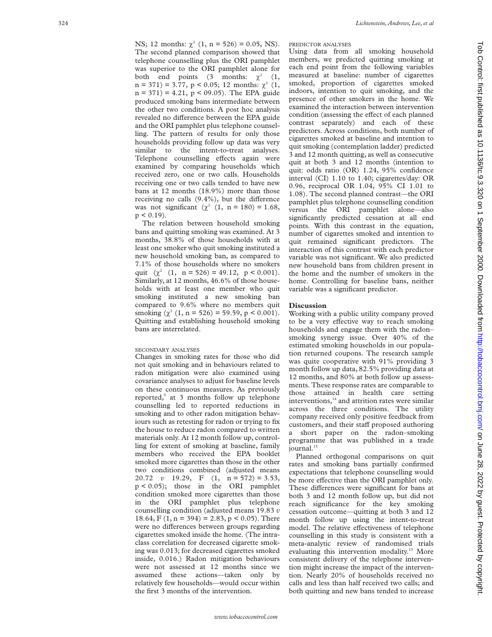NS; 12 months:  $\chi^2$  (1, n = 526) = 0.05, NS). The second planned comparison showed that telephone counselling plus the ORI pamphlet was superior to the ORI pamphlet alone for both end points  $(3 \text{ months: } \chi^2 \text{ (1,}$  $n = 371$ ) = 3.77,  $p < 0.05$ ; 12 months:  $\chi^2$  (1,  $n = 371$  = 4.21,  $p < 09.05$ ). The EPA guide produced smoking bans intermediate between the other two conditions. A post hoc analysis revealed no difference between the EPA guide and the ORI pamphlet plus telephone counselling. The pattern of results for only those households providing follow up data was very similar to the intent-to-treat analyses. Telephone counselling effects again were examined by comparing households which received zero, one or two calls. Households receiving one or two calls tended to have new bans at 12 months (18.9%) more than those receiving no calls (9.4%), but the difference was not significant ( $\chi^2$  (1, n = 180) = 1.68,  $p < 0.19$ ).

The relation between household smoking bans and quitting smoking was examined. At 3 months, 38.8% of those households with at least one smoker who quit smoking instituted a new household smoking ban, as compared to 7.1% of those households where no smokers quit  $(\chi^2 \quad (1, n = 526) = 49.12, p < 0.001)$ . Similarly, at 12 months, 46.6% of those households with at least one member who quit smoking instituted a new smoking ban compared to 9.6% where no members quit smoking  $(\chi^2 (1, n = 526) = 59.59, p < 0.001)$ . Quitting and establishing household smoking bans are interrelated.

#### SECONDARY ANALYSES

Changes in smoking rates for those who did not quit smoking and in behaviours related to radon mitigation were also examined using covariance analyses to adjust for baseline levels on these continuous measures. As previously reported, <sup>5</sup> at 3 months follow up telephone counselling led to reported reductions in smoking and to other radon mitigation behaviours such as retesting for radon or trying to fix the house to reduce radon compared to written materials only. At 12 month follow up, controlling for extent of smoking at baseline, family members who received the EPA booklet smoked more cigarettes than those in the other two conditions combined (adjusted means 20.72 *v* 19.29, F (1, n = 572) = 3.53, p < 0.05); those in the ORI pamphlet condition smoked more cigarettes than those in the ORI pamphlet plus telephone counselling condition (adjusted means 19.83 *v* 18.64, F  $(1, n = 394) = 2.83$ , p < 0.05). There were no differences between groups regarding cigarettes smoked inside the home. (The intraclass correlation for decreased cigarette smoking was 0.013; for decreased cigarettes smoked inside, 0.016.) Radon mitigation behaviours were not assessed at 12 months since we assumed these actions—taken only by relatively few households—would occur within the first 3 months of the intervention.

#### PREDICTOR ANALYSES

Using data from all smoking household members, we predicted quitting smoking at each end point from the following variables measured at baseline: number of cigarettes smoked, proportion of cigarettes smoked indoors, intention to quit smoking, and the presence of other smokers in the home. We examined the interaction between intervention condition (assessing the effect of each planned contrast separately) and each of these predictors. Across conditions, both number of cigarettes smoked at baseline and intention to quit smoking (contemplation ladder) predicted 3 and 12 month quitting, as well as consecutive quit at both 3 and 12 months (intention to quit: odds ratio (OR) 1.24, 95% confidence interval (CI) 1.10 to 1.40; cigarettes/day: OR 0.96, reciprocal OR 1.04, 95% CI 1.01 to 1.08). The second planned contrast—the ORI pamphlet plus telephone counselling condition versus the ORI pamphlet alone—also significantly predicted cessation at all end points. With this contrast in the equation, number of cigarettes smoked and intention to quit remained significant predictors. The interaction of this contrast with each predictor variable was not significant. We also predicted new household bans from children present in the home and the number of smokers in the home. Controlling for baseline bans, neither variable was a significant predictor.

# **Discussion**

Working with a public utility company proved to be a very effective way to reach smoking households and engage them with the radon– smoking synergy issue. Over 40% of the estimated smoking households in our population returned coupons. The research sample was quite cooperative with 91% providing 3 month follow up data, 82.5% providing data at 12 months, and 80% at both follow up assessments. These response rates are comparable to those attained in health care setting  $interventions<sub>14</sub><sup>14</sup>$  and attrition rates were similar across the three conditions. The utility company received only positive feedback from customers, and their staff proposed authoring a short paper on the radon–smoking programme that was published in a trade journal.<sup>15</sup>

Planned orthogonal comparisons on quit rates and smoking bans partially confirmed expectations that telephone counselling would be more effective than the ORI pamphlet only. These differences were significant for bans at both 3 and 12 month follow up, but did not reach significance for the key smoking cessation outcome—quitting at both 3 and 12 month follow up using the intent-to-treat model. The relative effectiveness of telephone counselling in this study is consistent with a meta-analytic review of randomised trials evaluating this intervention modality.<sup>13</sup> More consistent delivery of the telephone intervention might increase the impact of the intervention. Nearly 20% of households received no calls and less than half received two calls; and both quitting and new bans tended to increase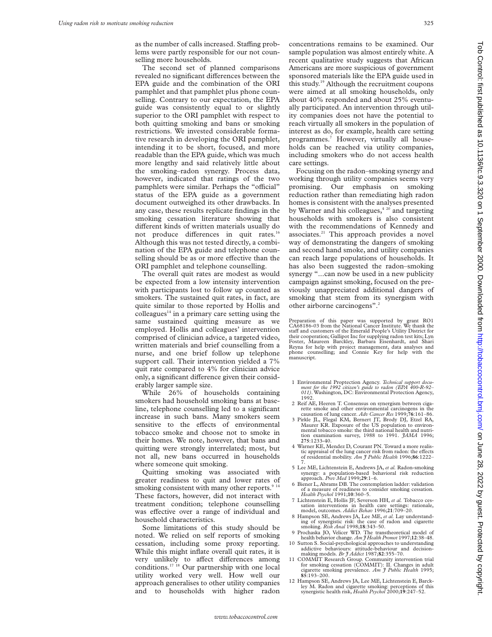as the number of calls increased. Staffing problems were partly responsible for our not counselling more households.

The second set of planned comparisons revealed no significant differences between the EPA guide and the combination of the ORI pamphlet and that pamphlet plus phone counselling. Contrary to our expectation, the EPA guide was consistently equal to or slightly superior to the ORI pamphlet with respect to both quitting smoking and bans or smoking restrictions. We invested considerable formative research in developing the ORI pamphlet, intending it to be short, focused, and more readable than the EPA guide, which was much more lengthy and said relatively little about the smoking–radon synergy. Process data, however, indicated that ratings of the two pamphlets were similar. Perhaps the "official" status of the EPA guide as a government document outweighed its other drawbacks. In any case, these results replicate findings in the smoking cessation literature showing that different kinds of written materials usually do not produce differences in quit rates.<sup>16</sup> Although this was not tested directly, a combination of the EPA guide and telephone counselling should be as or more effective than the ORI pamphlet and telephone counselling.

The overall quit rates are modest as would be expected from a low intensity intervention with participants lost to follow up counted as smokers. The sustained quit rates, in fact, are quite similar to those reported by Hollis and colleagues $14$  in a primary care setting using the same sustained quitting measure as we employed. Hollis and colleagues' intervention comprised of clinician advice, a targeted video, written materials and brief counselling from a nurse, and one brief follow up telephone support call. Their intervention yielded a 7% quit rate compared to 4% for clinician advice only, a significant difference given their considerably larger sample size.

While 26% of households containing smokers had household smoking bans at baseline, telephone counselling led to a significant increase in such bans. Many smokers seem sensitive to the effects of environmental tobacco smoke and choose not to smoke in their homes. We note, however, that bans and quitting were strongly interrelated; most, but not all, new bans occurred in households where someone quit smoking.

Quitting smoking was associated with greater readiness to quit and lower rates of smoking consistent with many other reports.<sup>9 14</sup> These factors, however, did not interact with treatment condition; telephone counselling was effective over a range of individual and household characteristics.

Some limitations of this study should be noted. We relied on self reports of smoking cessation, including some proxy reporting. While this might inflate overall quit rates, it is very unlikely to affect differences among conditions.17 18 Our partnership with one local utility worked very well. How well our approach generalises to other utility companies and to households with higher radon

concentrations remains to be examined. Our sample population was almost entirely white. A recent qualitative study suggests that African Americans are more suspicious of government sponsored materials like the EPA guide used in this study.19 Although the recruitment coupons were aimed at all smoking households, only about 40% responded and about 25% eventually participated. An intervention through utility companies does not have the potential to reach virtually all smokers in the population of interest as do, for example, health care setting programmes.<sup>7</sup> However, virtually all households can be reached via utility companies, including smokers who do not access health care settings.

Focusing on the radon–smoking synergy and working through utility companies seems very promising. Our emphasis on smoking reduction rather than remediating high radon homes is consistent with the analyses presented by Warner and his colleagues,<sup>4 20</sup> and targeting households with smokers is also consistent with the recommendations of Kennedy and associates.<sup>21</sup> This approach provides a novel way of demonstrating the dangers of smoking and second hand smoke, and utility companies can reach large populations of households. It has also been suggested the radon–smoking synergy "...can now be used in a new publicity campaign against smoking, focused on the previously unappreciated additional dangers of smoking that stem from its synergism with other airborne carcinogens".

Preparation of this paper was supported by grant RO1 CA68186-03 from the National Cancer Institute. We thank the staff and customers of the Emerald People's Utility District for their cooperation; Gallipot Inc for supplying radon test kits; Lyn Foster, Maureen Barckley, Barbara Eisenhardt, and Shari Reyna for help with project management, data analyses and phone counselling; and Connie Key for help with the manuscript.

- 1 Environmental Proptection Agency. *Technical support document for the 1992 citizen's guide to radon (EPA 400-R-92– 011).*Washington, DC: Environmental Protection Agency, 1992.
- 2 Reif AE, Heeren T. Consensus on synergism between cigarette smoke and other environmental carcinogens in the causation of lung cancer. *Adv Cancer Res* 1999;**76**:161–86.
- 3 Pirkle JL, Flegal KM, Bernert JT, Brody DJ, Etzel RA, Maurer KR. Exposure of the US population to environ-mental tobacco smoke: the third national health and nutrition examination survey, 1988 to 1991. *JAMA* 1996; **275**:1233-40.
- 4 Warner KE, Mendez D, Courant PN. Toward a more realistic appraisal of the lung cancer risk from radon: the effects of residential mobility. *Am J Public Health* 1996;**86**:1222–
- 5 Lee ME, Lichtenstein E, Andrews JA, *et al.* Radon-smoking synergy: a population-based behavioral risk reduction approach. *Prev Med* 1999;**29**:1–6.
- 6 Biener L, Abrams DB. The contemplation ladder: validation of a measure of readiness to consider smoking cessation. *Health Psychol* 1991;**10**:360–5.
- 7 Lichtenstein E, Hollis JF, Severson HH, *et al.* Tobacco cessation interventions in health care settings: rationale, model, outcomes. *Addict Behav* 1996;**21**:709–20.
- 8 Hampson SE, Andrews JA, Lee ME, *et al.* Lay understanding of synergistic risk: the case of radon and cigarette smoking. *Risk Anal* 1998;**18**:343–50.
- 9 Prochaska JO, Velicer WD. The transtheoretical model of health behavior change. *Am J Health Promot* 1997;**12**:38–48. 10 Sutton S. Social-psychological approaches to understanding
- addictive behaviours: attitude-behaviour and decision-making models. *Br J Addict* 1987;**82**:355–70.
- 11 COMMIT Research Group. Community intervention trial for smoking cessation (COMMIT): II. Changes in adult cigarette smoking prevalence. *Am J Public Health* 1995; **85**:193–200.
- 12 Hampson SE, Andrews JA, Lee ME, Lichtenstein E, Barck-ley M. Radon and cigarette smoking: perceptions of this synergistic health risk, *Health Psychol* 2000;**19**:247–52.